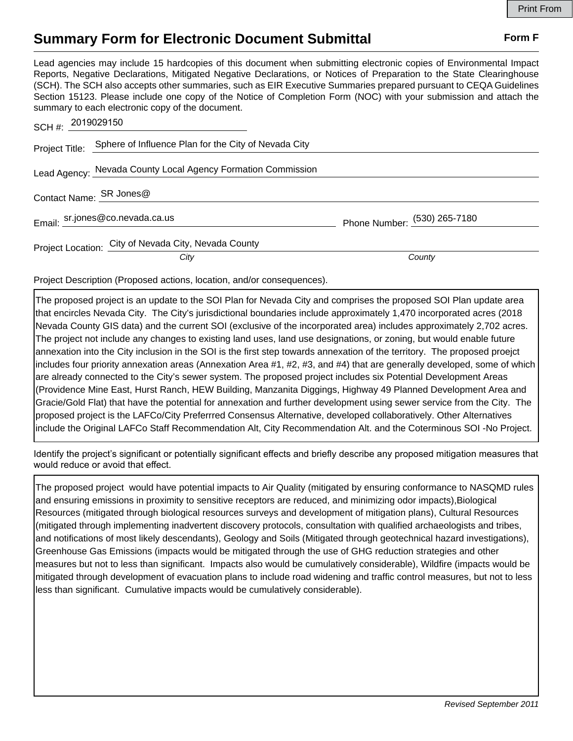## **Summary Form for Electronic Document Submittal Form F Form F**

Lead agencies may include 15 hardcopies of this document when submitting electronic copies of Environmental Impact Reports, Negative Declarations, Mitigated Negative Declarations, or Notices of Preparation to the State Clearinghouse (SCH). The SCH also accepts other summaries, such as EIR Executive Summaries prepared pursuant to CEQA Guidelines Section 15123. Please include one copy of the Notice of Completion Form (NOC) with your submission and attach the summary to each electronic copy of the document.

| SCH #: 2019029150       |                                                                     |                              |
|-------------------------|---------------------------------------------------------------------|------------------------------|
|                         | Project Title: Sphere of Influence Plan for the City of Nevada City |                              |
|                         | Lead Agency: Nevada County Local Agency Formation Commission        |                              |
| Contact Name: SR Jones@ |                                                                     |                              |
|                         | Email: sr.jones@co.nevada.ca.us                                     | Phone Number: (530) 265-7180 |
|                         | Project Location: City of Nevada City, Nevada County                |                              |
|                         | City                                                                | County                       |

Project Description (Proposed actions, location, and/or consequences).

The proposed project is an update to the SOI Plan for Nevada City and comprises the proposed SOI Plan update area that encircles Nevada City. The City's jurisdictional boundaries include approximately 1,470 incorporated acres (2018 Nevada County GIS data) and the current SOI (exclusive of the incorporated area) includes approximately 2,702 acres. The project not include any changes to existing land uses, land use designations, or zoning, but would enable future annexation into the City inclusion in the SOI is the first step towards annexation of the territory. The proposed proejct includes four priority annexation areas (Annexation Area #1, #2, #3, and #4) that are generally developed, some of which are already connected to the City's sewer system. The proposed project includes six Potential Development Areas (Providence Mine East, Hurst Ranch, HEW Building, Manzanita Diggings, Highway 49 Planned Development Area and Gracie/Gold Flat) that have the potential for annexation and further development using sewer service from the City. The proposed project is the LAFCo/City Preferrred Consensus Alternative, developed collaboratively. Other Alternatives include the Original LAFCo Staff Recommendation Alt, City Recommendation Alt. and the Coterminous SOI -No Project.

Identify the project's significant or potentially significant effects and briefly describe any proposed mitigation measures that would reduce or avoid that effect.

The proposed project would have potential impacts to Air Quality (mitigated by ensuring conformance to NASQMD rules and ensuring emissions in proximity to sensitive receptors are reduced, and minimizing odor impacts),Biological Resources (mitigated through biological resources surveys and development of mitigation plans), Cultural Resources (mitigated through implementing inadvertent discovery protocols, consultation with qualified archaeologists and tribes, and notifications of most likely descendants), Geology and Soils (Mitigated through geotechnical hazard investigations), Greenhouse Gas Emissions (impacts would be mitigated through the use of GHG reduction strategies and other measures but not to less than significant. Impacts also would be cumulatively considerable), Wildfire (impacts would be mitigated through development of evacuation plans to include road widening and traffic control measures, but not to less less than significant. Cumulative impacts would be cumulatively considerable).